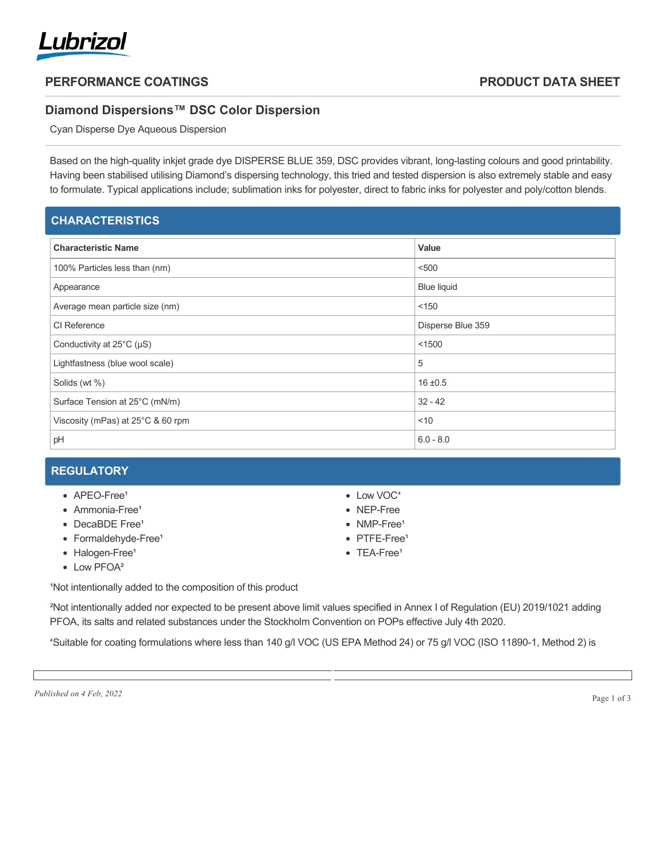

## **PERFORMANCE COATINGS PRODUCT DATA SHEET**

### **Diamond Dispersions™ DSC Color Dispersion**

Cyan Disperse Dye Aqueous Dispersion

Based on the high-quality inkjet grade dye DISPERSE BLUE 359, DSC provides vibrant, long-lasting colours and good printability. Having been stabilised utilising Diamond's dispersing technology, this tried and tested dispersion is also extremely stable and easy to formulate. Typical applications include; sublimation inks for polyester, direct to fabric inks for polyester and poly/cotton blends.

| <b>CHARACTERISTICS</b>              |                    |
|-------------------------------------|--------------------|
| <b>Characteristic Name</b>          | Value              |
| 100% Particles less than (nm)       | < 500              |
| Appearance                          | <b>Blue liquid</b> |
| Average mean particle size (nm)     | < 150              |
| CI Reference                        | Disperse Blue 359  |
| Conductivity at $25^{\circ}$ C (µS) | < 1500             |
| Lightfastness (blue wool scale)     | 5                  |
| Solids (wt %)                       | $16 + 0.5$         |
| Surface Tension at 25°C (mN/m)      | $32 - 42$          |
| Viscosity (mPas) at 25°C & 60 rpm   | $<$ 10             |
| pH                                  | $6.0 - 8.0$        |

# **REGULATORY**

- $\bullet$  APEO-Free<sup>1</sup>
- $\bullet$  Ammonia-Free<sup>1</sup>
- DecaBDE Free<sup>1</sup>
- Formaldehyde-Free<sup>1</sup>
- Halogen-Free<sup>1</sup>
- Low PFOA<sup>2</sup>
- Low VOC<sup>4</sup>
- NEP-Free
- NMP-Free<sup>1</sup>
- PTFE-Free<sup>1</sup>
- $\bullet$  TFA-Free<sup>1</sup>

<sup>1</sup>Not intentionally added to the composition of this product

²Not intentionally added nor expected to be present above limit values specified in Annex I of Regulation (EU) 2019/1021 adding PFOA, its salts and related substances under the Stockholm Convention on POPs effective July 4th 2020.

⁴Suitable for coating formulations where less than 140 g/l VOC (US EPA Method 24) or 75 g/l VOC (ISO 11890-1, Method 2) is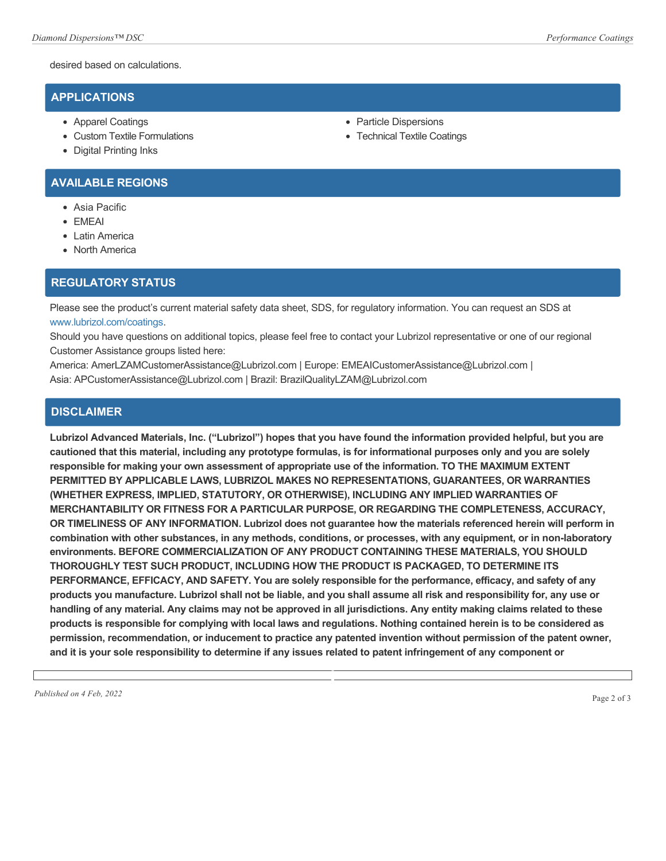desired based on calculations.

### **APPLICATIONS**

- Apparel Coatings
- Custom Textile Formulations
- Digital Printing Inks

# • Technical Textile Coatings

• Particle Dispersions

- **AVAILABLE REGIONS**
	- Asia Pacific
	- EMEAI
	- Latin America
	- North America

### **REGULATORY STATUS**

Please see the product's current material safety data sheet, SDS, for regulatory information. You can request an SDS at [www.lubrizol.com/coatings](http://www.lubrizol.com/coatings).

Should you have questions on additional topics, please feel free to contact your Lubrizol representative or one of our regional Customer Assistance groups listed here:

America: AmerLZAMCustomerAssistance@Lubrizol.com | Europe: EMEAICustomerAssistance@Lubrizol.com | Asia: APCustomerAssistance@Lubrizol.com | Brazil: BrazilQualityLZAM@Lubrizol.com

#### **DISCLAIMER**

**Lubrizol Advanced Materials, Inc. ("Lubrizol") hopes that you have found the information provided helpful, but you are cautioned that this material, including any prototype formulas, is for informational purposes only and you are solely responsible for making your own assessment of appropriate use of the information. TO THE MAXIMUM EXTENT PERMITTED BY APPLICABLE LAWS, LUBRIZOL MAKES NO REPRESENTATIONS, GUARANTEES, OR WARRANTIES (WHETHER EXPRESS, IMPLIED, STATUTORY, OR OTHERWISE), INCLUDING ANY IMPLIED WARRANTIES OF MERCHANTABILITY OR FITNESS FOR A PARTICULAR PURPOSE, OR REGARDING THE COMPLETENESS, ACCURACY, OR TIMELINESS OF ANY INFORMATION. Lubrizol does not guarantee how the materials referenced herein will perform in combination with other substances, in any methods, conditions, or processes, with any equipment, or in non-laboratory environments. BEFORE COMMERCIALIZATION OF ANY PRODUCT CONTAINING THESE MATERIALS, YOU SHOULD THOROUGHLY TEST SUCH PRODUCT, INCLUDING HOW THE PRODUCT IS PACKAGED, TO DETERMINE ITS PERFORMANCE, EFFICACY, AND SAFETY. You are solely responsible for the performance, efficacy, and safety of any products you manufacture. Lubrizol shall not be liable, and you shall assume all risk and responsibility for, any use or handling of any material. Any claims may not be approved in all jurisdictions. Any entity making claims related to these products is responsible for complying with local laws and regulations. Nothing contained herein is to be considered as permission, recommendation, or inducement to practice any patented invention without permission of the patent owner, and it is your sole responsibility to determine if any issues related to patent infringement of any component or**

*Published on 4 Feb, 2022* Page 2 of 3